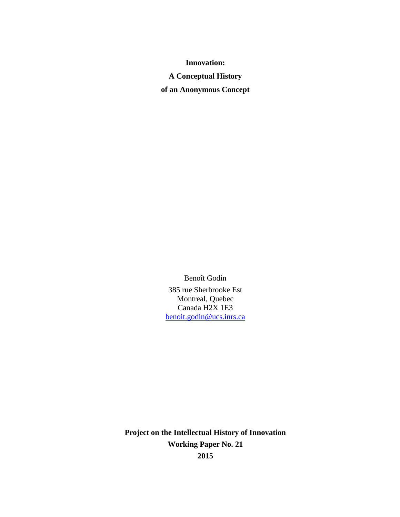**Innovation:**

**A Conceptual History**

**of an Anonymous Concept**

Benoît Godin 385 rue Sherbrooke Est Montreal, Quebec Canada H2X 1E3 [benoit.godin@ucs.inrs.ca](mailto:Benoit.godin@inrs-ucs.uquebec.ca)

**Project on the Intellectual History of Innovation Working Paper No. 21 2015**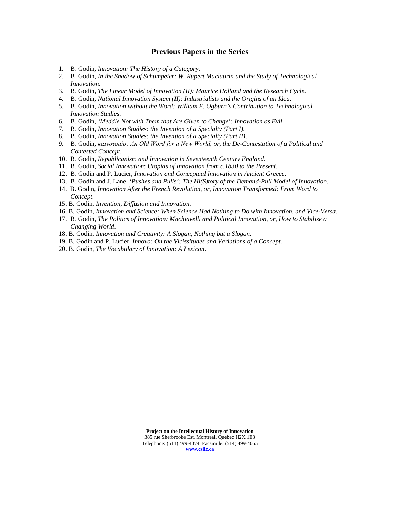#### **Previous Papers in the Series**

- 1. B. Godin, *Innovation: The History of a Category*.
- 2. B. Godin, *In the Shadow of Schumpeter: W. Rupert Maclaurin and the Study of Technological Innovation*.
- 3. B. Godin, *The Linear Model of Innovation (II): Maurice Holland and the Research Cycle*.
- 4. B. Godin, *National Innovation System (II): Industrialists and the Origins of an Idea*.
- 5. B. Godin, *Innovation without the Word: William F. Ogburn's Contribution to Technological Innovation Studies*.
- 6. B. Godin, *'Meddle Not with Them that Are Given to Change': Innovation as Evil*.
- 7. B. Godin, *Innovation Studies: the Invention of a Specialty (Part I)*.
- 8. B. Godin, *Innovation Studies: the Invention of a Specialty (Part II)*.
- 9. B. Godin, *καινοτομία: An Old Word for a New World, or, the De-Contestation of a Political and Contested Concept*.
- 10. B. Godin, *Republicanism and Innovation in Seventeenth Century England.*
- 11. B. Godin*, Social Innovation*: *Utopias of Innovation from c.1830 to the Present*.
- 12. B. Godin and P. Lucier, *Innovation and Conceptual Innovation in Ancient Greece*.
- 13. B. Godin and J. Lane, *'Pushes and Pulls': The Hi(S)tory of the Demand-Pull Model of Innovation*.
- 14. B. Godin, *Innovation After the French Revolution, or, Innovation Transformed: From Word to Concept*.
- 15. B. Godin, *Invention, Diffusion and Innovation*.
- 16. B. Godin, *Innovation and Science: When Science Had Nothing to Do with Innovation, and Vice-Versa*.
- 17. B. Godin, *The Politics of Innovation: Machiavelli and Political Innovation, or, How to Stabilize a Changing World*.
- 18. B. Godin, *Innovation and Creativity: A Slogan, Nothing but a Slogan*.
- 19. B. Godin and P. Lucier, *Innovo: On the Vicissitudes and Variations of a Concept*.
- 20. B. Godin, *The Vocabulary of Innovation: A Lexicon*.

**Project on the Intellectual History of Innovation** 385 rue Sherbrooke Est, Montreal, Quebec H2X 1E3 Telephone: (514) 499-4074 Facsimile: (514) 499-4065 **[www.csiic.ca](http://www.csiic.ca/)**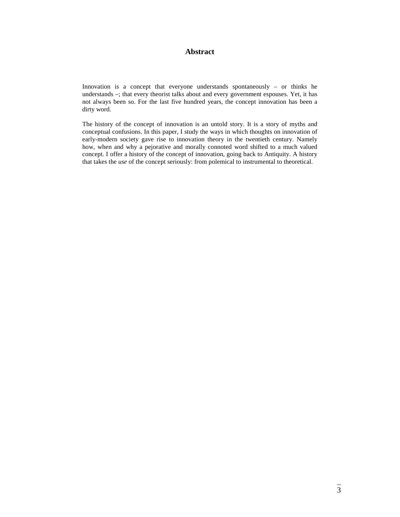# **Abstract**

Innovation is a concept that everyone understands spontaneously – or thinks he understands –; that every theorist talks about and every government espouses. Yet, it has not always been so. For the last five hundred years, the concept innovation has been a dirty word.

The history of the concept of innovation is an untold story. It is a story of myths and conceptual confusions. In this paper, I study the ways in which thoughts on innovation of early-modern society gave rise to innovation theory in the twentieth century. Namely how, when and why a pejorative and morally connoted word shifted to a much valued concept. I offer a history of the concept of innovation, going back to Antiquity. A history that takes the *use* of the concept seriously: from polemical to instrumental to theoretical.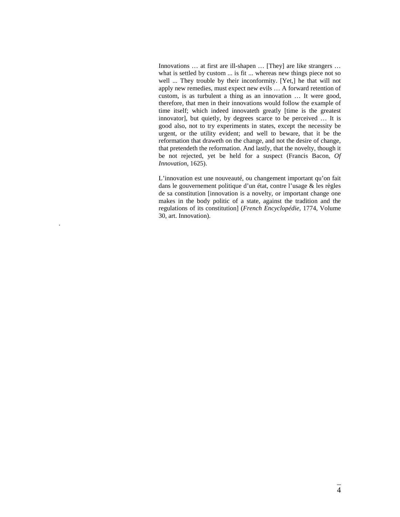Innovations … at first are ill-shapen … [They] are like strangers … what is settled by custom ... is fit ... whereas new things piece not so well ... They trouble by their inconformity. [Yet,] he that will not apply new remedies, must expect new evils … A forward retention of custom, is as turbulent a thing as an innovation … It were good, therefore, that men in their innovations would follow the example of time itself; which indeed innovateth greatly [time is the greatest innovator], but quietly, by degrees scarce to be perceived … It is good also, not to try experiments in states, except the necessity be urgent, or the utility evident; and well to beware, that it be the reformation that draweth on the change, and not the desire of change, that pretendeth the reformation. And lastly, that the novelty, though it be not rejected, yet be held for a suspect (Francis Bacon, *Of Innovation*, 1625).

L'innovation est une nouveauté, ou changement important qu'on fait dans le gouvernement politique d'un état, contre l'usage & les règles de sa constitution [innovation is a novelty, or important change one makes in the body politic of a state, against the tradition and the regulations of its constitution] (*French Encyclopédie*, 1774, Volume 30, art. Innovation).

.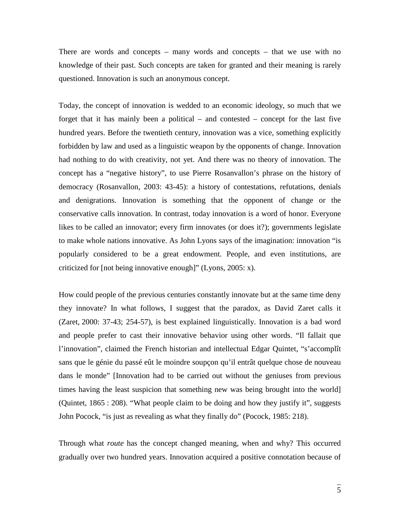There are words and concepts – many words and concepts – that we use with no knowledge of their past. Such concepts are taken for granted and their meaning is rarely questioned. Innovation is such an anonymous concept.

Today, the concept of innovation is wedded to an economic ideology, so much that we forget that it has mainly been a political – and contested – concept for the last five hundred years. Before the twentieth century, innovation was a vice, something explicitly forbidden by law and used as a linguistic weapon by the opponents of change. Innovation had nothing to do with creativity, not yet. And there was no theory of innovation. The concept has a "negative history", to use Pierre Rosanvallon's phrase on the history of democracy (Rosanvallon, 2003: 43-45): a history of contestations, refutations, denials and denigrations. Innovation is something that the opponent of change or the conservative calls innovation. In contrast, today innovation is a word of honor. Everyone likes to be called an innovator; every firm innovates (or does it?); governments legislate to make whole nations innovative. As John Lyons says of the imagination: innovation "is popularly considered to be a great endowment. People, and even institutions, are criticized for [not being innovative enough]" (Lyons, 2005: x).

How could people of the previous centuries constantly innovate but at the same time deny they innovate? In what follows, I suggest that the paradox, as David Zaret calls it (Zaret, 2000: 37-43; 254-57), is best explained linguistically. Innovation is a bad word and people prefer to cast their innovative behavior using other words. "Il fallait que l'innovation", claimed the French historian and intellectual Edgar Quintet, "s'accomplît sans que le génie du passé eût le moindre soupçon qu'il entrât quelque chose de nouveau dans le monde" [Innovation had to be carried out without the geniuses from previous times having the least suspicion that something new was being brought into the world] (Quintet, 1865 : 208). "What people claim to be doing and how they justify it", suggests John Pocock, "is just as revealing as what they finally do" (Pocock, 1985: 218).

Through what *route* has the concept changed meaning, when and why? This occurred gradually over two hundred years. Innovation acquired a positive connotation because of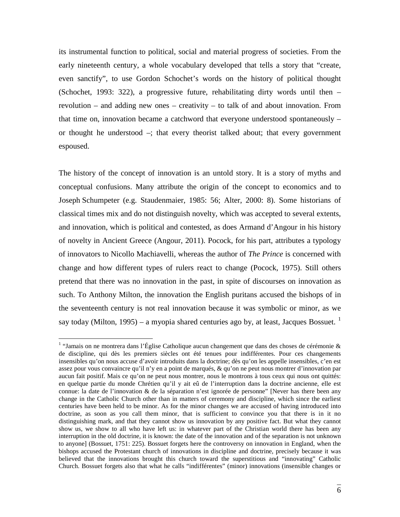its instrumental function to political, social and material progress of societies. From the early nineteenth century, a whole vocabulary developed that tells a story that "create, even sanctify", to use Gordon Schochet's words on the history of political thought (Schochet, 1993: 322), a progressive future, rehabilitating dirty words until then – revolution – and adding new ones – creativity – to talk of and about innovation. From that time on, innovation became a catchword that everyone understood spontaneously – or thought he understood –; that every theorist talked about; that every government espoused.

The history of the concept of innovation is an untold story. It is a story of myths and conceptual confusions. Many attribute the origin of the concept to economics and to Joseph Schumpeter (e.g. Staudenmaier, 1985: 56; Alter, 2000: 8). Some historians of classical times mix and do not distinguish novelty, which was accepted to several extents, and innovation, which is political and contested, as does Armand d'Angour in his history of novelty in Ancient Greece (Angour, 2011). Pocock, for his part, attributes a typology of innovators to Nicollo Machiavelli, whereas the author of *The Prince* is concerned with change and how different types of rulers react to change (Pocock, 1975). Still others pretend that there was no innovation in the past, in spite of discourses on innovation as such. To Anthony Milton, the innovation the English puritans accused the bishops of in the seventeenth century is not real innovation because it was symbolic or minor, as we say today (Milton, [1](#page-5-0)995) – a myopia shared centuries ago by, at least, Jacques Bossuet.  $<sup>1</sup>$ </sup>

<span id="page-5-0"></span> <sup>1</sup> "Jamais on ne montrera dans l'Église Catholique aucun changement que dans des choses de cérémonie & de discipline, qui dès les premiers siècles ont été tenues pour indifférentes. Pour ces changements insensibles qu'on nous accuse d'avoir introduits dans la doctrine; dès qu'on les appelle insensibles, c'en est assez pour vous convaincre qu'il n'y en a point de marqués, & qu'on ne peut nous montrer d'innovation par aucun fait positif. Mais ce qu'on ne peut nous montrer, nous le montrons à tous ceux qui nous ont quittés: en quelque partie du monde Chrétien qu'il y ait eû de l'interruption dans la doctrine ancienne, elle est connue: la date de l'innovation & de la séparation n'est ignorée de personne" [Never has there been any change in the Catholic Church other than in matters of ceremony and discipline, which since the earliest centuries have been held to be minor. As for the minor changes we are accused of having introduced into doctrine, as soon as you call them minor, that is sufficient to convince you that there is in it no distinguishing mark, and that they cannot show us innovation by any positive fact. But what they cannot show us, we show to all who have left us: in whatever part of the Christian world there has been any interruption in the old doctrine, it is known: the date of the innovation and of the separation is not unknown to anyone] (Bossuet, 1751: 225). Bossuet forgets here the controversy on innovation in England, when the bishops accused the Protestant church of innovations in discipline and doctrine, precisely because it was believed that the innovations brought this church toward the superstitious and "innovating" Catholic Church. Bossuet forgets also that what he calls "indifférentes" (minor) innovations (insensible changes or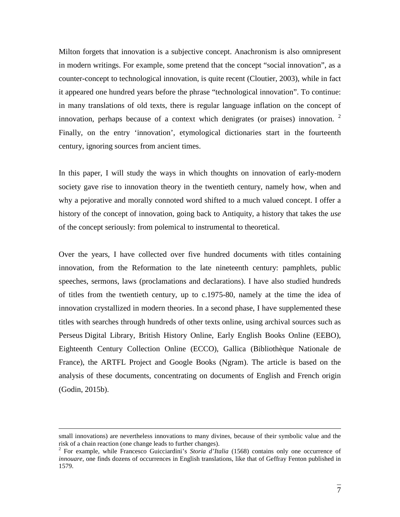Milton forgets that innovation is a subjective concept. Anachronism is also omnipresent in modern writings. For example, some pretend that the concept "social innovation", as a counter-concept to technological innovation, is quite recent (Cloutier, 2003), while in fact it appeared one hundred years before the phrase "technological innovation". To continue: in many translations of old texts, there is regular language inflation on the concept of innovation, perhaps because of a context which denigrates (or praises) innovation.  $2\overline{ }$  $2\overline{ }$ Finally, on the entry 'innovation', etymological dictionaries start in the fourteenth century, ignoring sources from ancient times.

In this paper, I will study the ways in which thoughts on innovation of early-modern society gave rise to innovation theory in the twentieth century, namely how, when and why a pejorative and morally connoted word shifted to a much valued concept. I offer a history of the concept of innovation, going back to Antiquity, a history that takes the *use* of the concept seriously: from polemical to instrumental to theoretical.

Over the years, I have collected over five hundred documents with titles containing innovation, from the Reformation to the late nineteenth century: pamphlets, public speeches, sermons, laws (proclamations and declarations). I have also studied hundreds of titles from the twentieth century, up to c.1975-80, namely at the time the idea of innovation crystallized in modern theories. In a second phase, I have supplemented these titles with searches through hundreds of other texts online, using archival sources such as Perseus Digital Library, British History Online, Early English Books Online (EEBO), Eighteenth Century Collection Online (ECCO), Gallica (Bibliothèque Nationale de France), the ARTFL Project and Google Books (Ngram). The article is based on the analysis of these documents, concentrating on documents of English and French origin (Godin, 2015b).

small innovations) are nevertheless innovations to many divines, because of their symbolic value and the risk of a chain reaction (one change leads to further changes). <sup>2</sup> For example, while Francesco Guicciardini's *Storia d'Italia* (1568) contains only one occurrence of

<span id="page-6-0"></span>*innouare*, one finds dozens of occurrences in English translations, like that of Geffray Fenton published in 1579.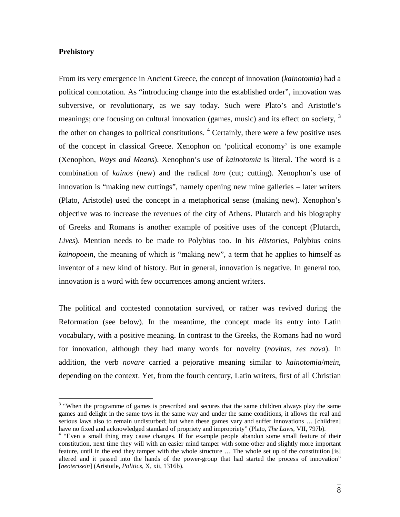## **Prehistory**

From its very emergence in Ancient Greece, the concept of innovation (*kainotomia*) had a political connotation. As "introducing change into the established order", innovation was subversive, or revolutionary, as we say today. Such were Plato's and Aristotle's meanings; one focusing on cultural innovation (games, music) and its effect on society,  $3\overline{ }$  $3\overline{ }$ the other on changes to political constitutions.  $4$  Certainly, there were a few positive uses of the concept in classical Greece. Xenophon on 'political economy' is one example (Xenophon, *Ways and Means*). Xenophon's use of *kainotomia* is literal. The word is a combination of *kainos* (new) and the radical *tom* (cut; cutting). Xenophon's use of innovation is "making new cuttings", namely opening new mine galleries – later writers (Plato, Aristotle) used the concept in a metaphorical sense (making new). Xenophon's objective was to increase the revenues of the city of Athens. Plutarch and his biography of Greeks and Romans is another example of positive uses of the concept (Plutarch, *Lives*). Mention needs to be made to Polybius too. In his *Histories*, Polybius coins *kainopoein*, the meaning of which is "making new", a term that he applies to himself as inventor of a new kind of history. But in general, innovation is negative. In general too, innovation is a word with few occurrences among ancient writers.

The political and contested connotation survived, or rather was revived during the Reformation (see below). In the meantime, the concept made its entry into Latin vocabulary, with a positive meaning. In contrast to the Greeks, the Romans had no word for innovation, although they had many words for novelty (*novitas*, *res nova*). In addition, the verb *novare* carried a pejorative meaning similar to *kainotomia*/*mein*, depending on the context. Yet, from the fourth century, Latin writers, first of all Christian

<span id="page-7-0"></span><sup>&</sup>lt;sup>3</sup> "When the programme of games is prescribed and secures that the same children always play the same games and delight in the same toys in the same way and under the same conditions, it allows the real and serious laws also to remain undisturbed; but when these games vary and suffer innovations … [children]

<span id="page-7-1"></span>have no fixed and acknowledged standard of propriety and impropriety" (Plato, *The Laws*, VII, 797b).<br><sup>4</sup> "Even a small thing may cause changes. If for example people abandon some small feature of their constitution, next time they will with an easier mind tamper with some other and slightly more important feature, until in the end they tamper with the whole structure … The whole set up of the constitution [is] altered and it passed into the hands of the power-group that had started the process of innovation" [*neoterizein*] (Aristotle, *Politics*, X, xii, 1316b).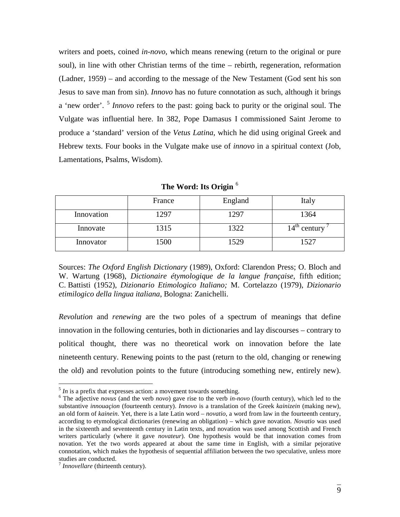writers and poets, coined *in*-*novo*, which means renewing (return to the original or pure soul), in line with other Christian terms of the time – rebirth, regeneration, reformation (Ladner, 1959) – and according to the message of the New Testament (God sent his son Jesus to save man from sin). *Innovo* has no future connotation as such, although it brings a 'new order'. [5](#page-8-0) *Innovo* refers to the past: going back to purity or the original soul. The Vulgate was influential here. In 382, Pope Damasus I commissioned Saint Jerome to produce a 'standard' version of the *Vetus Latina*, which he did using original Greek and Hebrew texts. Four books in the Vulgate make use of *innovo* in a spiritual context (Job, Lamentations, Psalms, Wisdom).

|            | France | England | Italy                    |
|------------|--------|---------|--------------------------|
| Innovation | 1297   | 1297    | 1364                     |
| Innovate   | 1315   | 1322    | $14^{\text{th}}$ century |
| Innovator  | 1500   | 1529    | 1527                     |

**The Word: Its Origin** [6](#page-8-1)

Sources: *The Oxford English Dictionary* (1989), Oxford: Clarendon Press; O. Bloch and W. Wartung (1968), *Dictionaire étymologique de la langue française*, fifth edition; C. Battisti (1952), *Dizionario Etimologico Italiano;* M. Cortelazzo (1979), *Dizionario etimilogico della lingua italiana*, Bologna: Zanichelli.

*Revolution* and *renewing* are the two poles of a spectrum of meanings that define innovation in the following centuries, both in dictionaries and lay discourses – contrary to political thought, there was no theoretical work on innovation before the late nineteenth century. Renewing points to the past (return to the old, changing or renewing the old) and revolution points to the future (introducing something new, entirely new).

<span id="page-8-1"></span><span id="page-8-0"></span> $\frac{5}{5}$  *In* is a prefix that expresses action: a movement towards something.<br> $\frac{6}{5}$  The adjective *novus* (and the verb *novo*) gave rise to the verb *in-novo* (fourth century), which led to the substantive *innouaçion* (fourteenth century). *Innovo* is a translation of the Greek *kainizein* (making new), an old form of *kainein*. Yet, there is a late Latin word – *novatio*, a word from law in the fourteenth century, according to etymological dictionaries (renewing an obligation) – which gave novation. *Novatio* was used in the sixteenth and seventeenth century in Latin texts, and novation was used among Scottish and French writers particularly (where it gave *novateur*). One hypothesis would be that innovation comes from novation. Yet the two words appeared at about the same time in English, with a similar pejorative connotation, which makes the hypothesis of sequential affiliation between the two speculative, unless more studies are conducted.

<span id="page-8-2"></span><sup>7</sup> *Innovellare* (thirteenth century).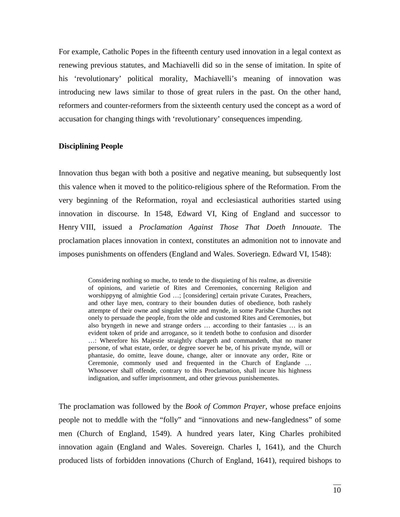For example, Catholic Popes in the fifteenth century used innovation in a legal context as renewing previous statutes, and Machiavelli did so in the sense of imitation. In spite of his 'revolutionary' political morality, Machiavelli's meaning of innovation was introducing new laws similar to those of great rulers in the past. On the other hand, reformers and counter-reformers from the sixteenth century used the concept as a word of accusation for changing things with 'revolutionary' consequences impending.

#### **Disciplining People**

Innovation thus began with both a positive and negative meaning, but subsequently lost this valence when it moved to the politico-religious sphere of the Reformation. From the very beginning of the Reformation, royal and ecclesiastical authorities started using innovation in discourse. In 1548, Edward VI, King of England and successor to Henry VIII, issued a *Proclamation Against Those That Doeth Innouate*. The proclamation places innovation in context, constitutes an admonition not to innovate and imposes punishments on offenders (England and Wales. Soveriegn. Edward VI, 1548):

> Considering nothing so muche, to tende to the disquieting of his realme, as diversitie of opinions, and varietie of Rites and Ceremonies, concerning Religion and worshippyng of almightie God ...; [considering] certain private Curates, Preachers, and other laye men, contrary to their bounden duties of obedience, both rashely attempte of their owne and singulet witte and mynde, in some Parishe Churches not onely to persuade the people, from the olde and customed Rites and Ceremonies, but also bryngeth in newe and strange orders … according to their fantasies … is an evident token of pride and arrogance, so it tendeth bothe to confusion and disorder …: Wherefore his Majestie straightly chargeth and commandeth, that no maner persone, of what estate, order, or degree soever he be, of his private mynde, will or phantasie, do omitte, leave doune, change, alter or innovate any order, Rite or Ceremonie, commonly used and frequented in the Church of Englande … Whosoever shall offende, contrary to this Proclamation, shall incure his highness indignation, and suffer imprisonment, and other grievous punishementes.

The proclamation was followed by the *Book of Common Prayer*, whose preface enjoins people not to meddle with the "folly" and "innovations and new-fangledness" of some men (Church of England, 1549). A hundred years later, King Charles prohibited innovation again (England and Wales. Sovereign. Charles I, 1641), and the Church produced lists of forbidden innovations (Church of England, 1641), required bishops to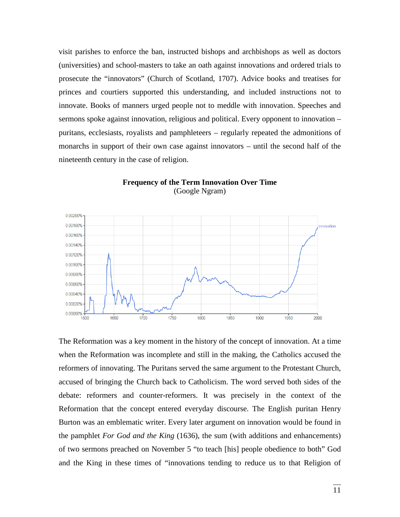visit parishes to enforce the ban, instructed bishops and archbishops as well as doctors (universities) and school-masters to take an oath against innovations and ordered trials to prosecute the "innovators" (Church of Scotland, 1707). Advice books and treatises for princes and courtiers supported this understanding, and included instructions not to innovate. Books of manners urged people not to meddle with innovation. Speeches and sermons spoke against innovation, religious and political. Every opponent to innovation – puritans, ecclesiasts, royalists and pamphleteers – regularly repeated the admonitions of monarchs in support of their own case against innovators – until the second half of the nineteenth century in the case of religion.



## **Frequency of the Term Innovation Over Time** (Google Ngram)

The Reformation was a key moment in the history of the concept of innovation. At a time when the Reformation was incomplete and still in the making, the Catholics accused the reformers of innovating. The Puritans served the same argument to the Protestant Church, accused of bringing the Church back to Catholicism. The word served both sides of the debate: reformers and counter-reformers. It was precisely in the context of the Reformation that the concept entered everyday discourse. The English puritan Henry Burton was an emblematic writer. Every later argument on innovation would be found in the pamphlet *For God and the King* (1636), the sum (with additions and enhancements) of two sermons preached on November 5 "to teach [his] people obedience to both" God and the King in these times of "innovations tending to reduce us to that Religion of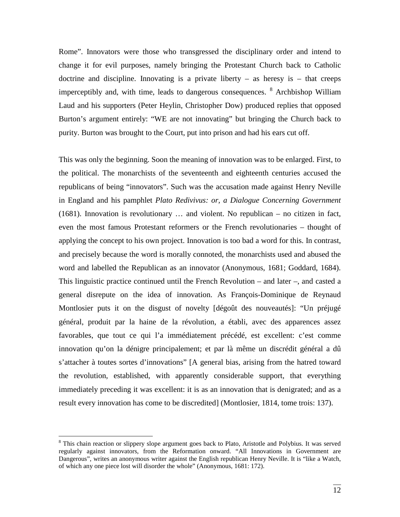Rome". Innovators were those who transgressed the disciplinary order and intend to change it for evil purposes, namely bringing the Protestant Church back to Catholic doctrine and discipline. Innovating is a private liberty  $-$  as heresy is  $-$  that creeps imperceptibly and, with time, leads to dangerous consequences.  $8$  Archbishop William Laud and his supporters (Peter Heylin, Christopher Dow) produced replies that opposed Burton's argument entirely: "WE are not innovating" but bringing the Church back to purity. Burton was brought to the Court, put into prison and had his ears cut off.

This was only the beginning. Soon the meaning of innovation was to be enlarged. First, to the political. The monarchists of the seventeenth and eighteenth centuries accused the republicans of being "innovators". Such was the accusation made against Henry Neville in England and his pamphlet *Plato Redivivus: or, a Dialogue Concerning Government* (1681). Innovation is revolutionary … and violent. No republican – no citizen in fact, even the most famous Protestant reformers or the French revolutionaries – thought of applying the concept to his own project. Innovation is too bad a word for this. In contrast, and precisely because the word is morally connoted, the monarchists used and abused the word and labelled the Republican as an innovator (Anonymous, 1681; Goddard, 1684). This linguistic practice continued until the French Revolution – and later –, and casted a general disrepute on the idea of innovation. As François-Dominique de Reynaud Montlosier puts it on the disgust of novelty [dégoût des nouveautés]: "Un préjugé général, produit par la haine de la révolution, a établi, avec des apparences assez favorables, que tout ce qui l'a immédiatement précédé, est excellent: c'est comme innovation qu'on la dénigre principalement; et par là même un discrédit général a dû s'attacher à toutes sortes d'innovations" [A general bias, arising from the hatred toward the revolution, established, with apparently considerable support, that everything immediately preceding it was excellent: it is as an innovation that is denigrated; and as a result every innovation has come to be discredited] (Montlosier, 1814, tome trois: 137).

<span id="page-11-0"></span><sup>&</sup>lt;sup>8</sup> This chain reaction or slippery slope argument goes back to Plato, Aristotle and Polybius. It was served regularly against innovators, from the Reformation onward. "All Innovations in Government are Dangerous", writes an anonymous writer against the English republican Henry Neville. It is "like a Watch, of which any one piece lost will disorder the whole" (Anonymous, 1681: 172).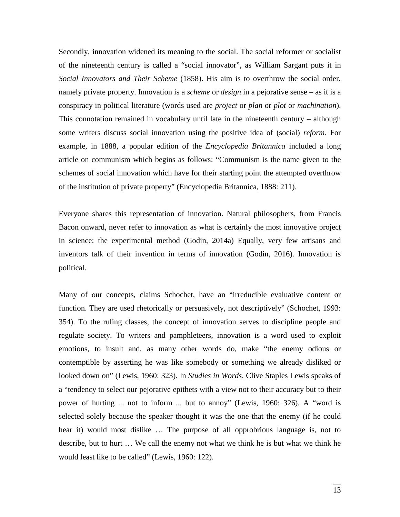Secondly, innovation widened its meaning to the social. The social reformer or socialist of the nineteenth century is called a "social innovator", as William Sargant puts it in *Social Innovators and Their Scheme* (1858). His aim is to overthrow the social order, namely private property. Innovation is a *scheme* or *design* in a pejorative sense – as it is a conspiracy in political literature (words used are *project* or *plan* or *plot* or *machination*). This connotation remained in vocabulary until late in the nineteenth century – although some writers discuss social innovation using the positive idea of (social) *reform*. For example, in 1888, a popular edition of the *Encyclopedia Britannica* included a long article on communism which begins as follows: "Communism is the name given to the schemes of social innovation which have for their starting point the attempted overthrow of the institution of private property" (Encyclopedia Britannica, 1888: 211).

Everyone shares this representation of innovation. Natural philosophers, from Francis Bacon onward, never refer to innovation as what is certainly the most innovative project in science: the experimental method (Godin, 2014a) Equally, very few artisans and inventors talk of their invention in terms of innovation (Godin, 2016). Innovation is political.

Many of our concepts, claims Schochet, have an "irreducible evaluative content or function. They are used rhetorically or persuasively, not descriptively" (Schochet, 1993: 354). To the ruling classes, the concept of innovation serves to discipline people and regulate society. To writers and pamphleteers, innovation is a word used to exploit emotions, to insult and, as many other words do, make "the enemy odious or contemptible by asserting he was like somebody or something we already disliked or looked down on" (Lewis, 1960: 323). In *Studies in Words*, Clive Staples Lewis speaks of a "tendency to select our pejorative epithets with a view not to their accuracy but to their power of hurting ... not to inform ... but to annoy" (Lewis, 1960: 326). A "word is selected solely because the speaker thought it was the one that the enemy (if he could hear it) would most dislike … The purpose of all opprobrious language is, not to describe, but to hurt … We call the enemy not what we think he is but what we think he would least like to be called" (Lewis, 1960: 122).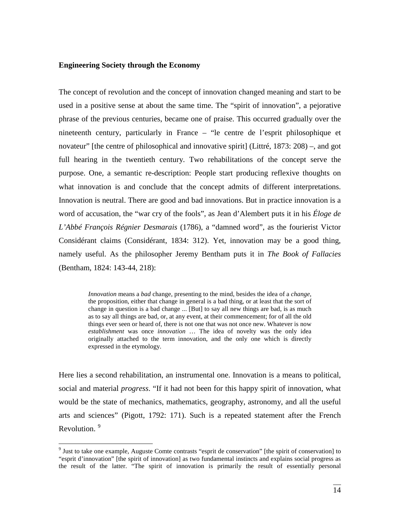### **Engineering Society through the Economy**

The concept of revolution and the concept of innovation changed meaning and start to be used in a positive sense at about the same time. The "spirit of innovation", a pejorative phrase of the previous centuries, became one of praise. This occurred gradually over the nineteenth century, particularly in France – "le centre de l'esprit philosophique et novateur" [the centre of philosophical and innovative spirit] (Littré, 1873: 208) –, and got full hearing in the twentieth century. Two rehabilitations of the concept serve the purpose. One, a semantic re-description: People start producing reflexive thoughts on what innovation is and conclude that the concept admits of different interpretations. Innovation is neutral. There are good and bad innovations. But in practice innovation is a word of accusation, the "war cry of the fools", as Jean d'Alembert puts it in his *Éloge de L'Abbé François Régnier Desmarais* (1786), a "damned word", as the fourierist Victor Considérant claims (Considérant, 1834: 312). Yet, innovation may be a good thing, namely useful. As the philosopher Jeremy Bentham puts it in *The Book of Fallacies* (Bentham, 1824: 143-44, 218):

> *Innovation* means a *bad* change, presenting to the mind, besides the idea of a *change*, the proposition, either that change in general is a bad thing, or at least that the sort of change in question is a bad change ... [But] to say all new things are bad, is as much as to say all things are bad, or, at any event, at their commencement; for of all the old things ever seen or heard of, there is not one that was not once new. Whatever is now *establishment* was once *innovation* … The idea of novelty was the only idea originally attached to the term innovation, and the only one which is directly expressed in the etymology.

Here lies a second rehabilitation, an instrumental one. Innovation is a means to political, social and material *progress*. "If it had not been for this happy spirit of innovation, what would be the state of mechanics, mathematics, geography, astronomy, and all the useful arts and sciences" (Pigott, 1792: 171). Such is a repeated statement after the French Revolution.<sup>[9](#page-13-0)</sup>

<span id="page-13-0"></span><sup>&</sup>lt;sup>9</sup> Just to take one example, Auguste Comte contrasts "esprit de conservation" [the spirit of conservation] to "esprit d'innovation" [the spirit of innovation] as two fundamental instincts and explains social progress as the result of the latter. "The spirit of innovation is primarily the result of essentially personal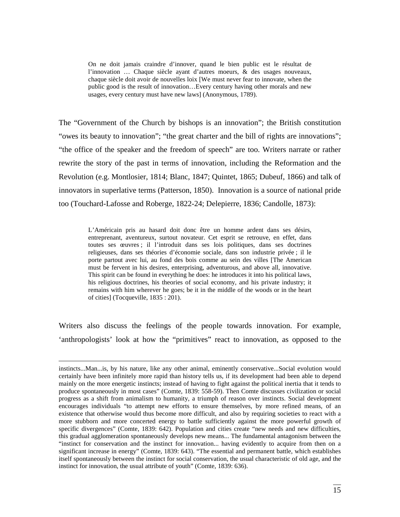On ne doit jamais craindre d'innover, quand le bien public est le résultat de l'innovation … Chaque siècle ayant d'autres moeurs, & des usages nouveaux, chaque siècle doit avoir de nouvelles loix [We must never fear to innovate, when the public good is the result of innovation…Every century having other morals and new usages, every century must have new laws] (Anonymous, 1789).

The "Government of the Church by bishops is an innovation"; the British constitution "owes its beauty to innovation"; "the great charter and the bill of rights are innovations"; "the office of the speaker and the freedom of speech" are too. Writers narrate or rather rewrite the story of the past in terms of innovation, including the Reformation and the Revolution (e.g. Montlosier, 1814; Blanc, 1847; Quintet, 1865; Dubeuf, 1866) and talk of innovators in superlative terms (Patterson, 1850). Innovation is a source of national pride too (Touchard-Lafosse and Roberge, 1822-24; Delepierre, 1836; Candolle, 1873):

> L'Américain pris au hasard doit donc être un homme ardent dans ses désirs, entreprenant, aventureux, surtout novateur. Cet esprit se retrouve, en effet, dans toutes ses œuvres ; il l'introduit dans ses lois politiques, dans ses doctrines religieuses, dans ses théories d'économie sociale, dans son industrie privée ; il le porte partout avec lui, au fond des bois comme au sein des villes [The American must be fervent in his desires, enterprising, adventurous, and above all, innovative. This spirit can be found in everything he does: he introduces it into his political laws, his religious doctrines, his theories of social economy, and his private industry; it remains with him wherever he goes; be it in the middle of the woods or in the heart of cities] (Tocqueville, 1835 : 201).

Writers also discuss the feelings of the people towards innovation. For example, 'anthropologists' look at how the "primitives" react to innovation, as opposed to the

 $\overline{a}$ 

instincts...Man...is, by his nature, like any other animal, eminently conservative...Social evolution would certainly have been infinitely more rapid than history tells us, if its development had been able to depend mainly on the more energetic instincts; instead of having to fight against the political inertia that it tends to produce spontaneously in most cases" (Comte, 1839: 558-59). Then Comte discusses civilization or social progress as a shift from animalism to humanity, a triumph of reason over instincts. Social development encourages individuals "to attempt new efforts to ensure themselves, by more refined means, of an existence that otherwise would thus become more difficult, and also by requiring societies to react with a more stubborn and more concerted energy to battle sufficiently against the more powerful growth of specific divergences" (Comte, 1839: 642). Population and cities create "new needs and new difficulties, this gradual agglomeration spontaneously develops new means... The fundamental antagonism between the "instinct for conservation and the instinct for innovation... having evidently to acquire from then on a significant increase in energy" (Comte, 1839: 643). "The essential and permanent battle, which establishes itself spontaneously between the instinct for social conservation, the usual characteristic of old age, and the instinct for innovation, the usual attribute of youth" (Comte, 1839: 636).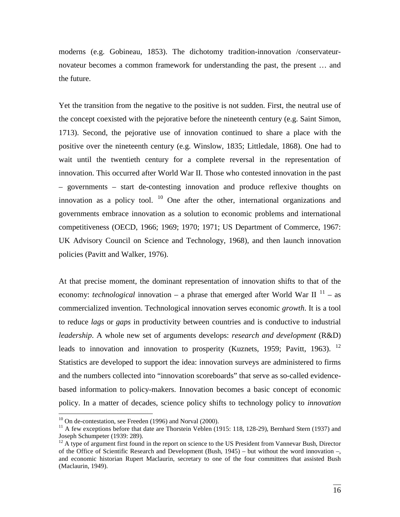moderns (e.g. Gobineau, 1853). The dichotomy tradition-innovation /conservateurnovateur becomes a common framework for understanding the past, the present … and the future.

Yet the transition from the negative to the positive is not sudden. First, the neutral use of the concept coexisted with the pejorative before the nineteenth century (e.g. Saint Simon, 1713). Second, the pejorative use of innovation continued to share a place with the positive over the nineteenth century (e.g. Winslow, 1835; Littledale, 1868). One had to wait until the twentieth century for a complete reversal in the representation of innovation. This occurred after World War II. Those who contested innovation in the past – governments – start de-contesting innovation and produce reflexive thoughts on innovation as a policy tool.  $10$  One after the other, international organizations and governments embrace innovation as a solution to economic problems and international competitiveness (OECD, 1966; 1969; 1970; 1971; US Department of Commerce, 1967: UK Advisory Council on Science and Technology, 1968), and then launch innovation policies (Pavitt and Walker, 1976).

At that precise moment, the dominant representation of innovation shifts to that of the economy: *technological* innovation – a phrase that emerged after World War II<sup>[11](#page-15-1)</sup> – as commercialized invention. Technological innovation serves economic *growth*. It is a tool to reduce *lags* or *gaps* in productivity between countries and is conductive to industrial *leadership*. A whole new set of arguments develops: *research and development* (R&D) leads to innovation and innovation to prosperity (Kuznets, 1959; Pavitt, 1963). <sup>[12](#page-15-2)</sup> Statistics are developed to support the idea: innovation surveys are administered to firms and the numbers collected into "innovation scoreboards" that serve as so-called evidencebased information to policy-makers. Innovation becomes a basic concept of economic policy. In a matter of decades, science policy shifts to technology policy to *innovation* 

<span id="page-15-1"></span><span id="page-15-0"></span><sup>&</sup>lt;sup>10</sup> On de-contestation, see Freeden (1996) and Norval (2000).<br><sup>11</sup> A few exceptions before that date are Thorstein Veblen (1915: 118, 128-29), Bernhard Stern (1937) and Joseph Schumpeter (1939: 289).

<span id="page-15-2"></span> $12$  A type of argument first found in the report on science to the US President from Vannevar Bush, Director of the Office of Scientific Research and Development (Bush, 1945) – but without the word innovation –, and economic historian Rupert Maclaurin, secretary to one of the four committees that assisted Bush (Maclaurin, 1949).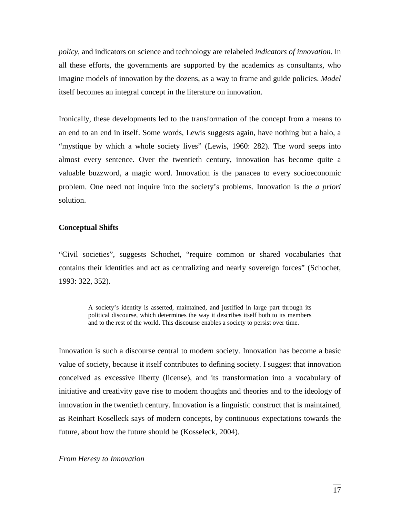*policy*, and indicators on science and technology are relabeled *indicators of innovation*. In all these efforts, the governments are supported by the academics as consultants, who imagine models of innovation by the dozens, as a way to frame and guide policies. *Model* itself becomes an integral concept in the literature on innovation.

Ironically, these developments led to the transformation of the concept from a means to an end to an end in itself. Some words, Lewis suggests again, have nothing but a halo, a "mystique by which a whole society lives" (Lewis, 1960: 282). The word seeps into almost every sentence. Over the twentieth century, innovation has become quite a valuable buzzword, a magic word. Innovation is the panacea to every socioeconomic problem. One need not inquire into the society's problems. Innovation is the *a priori* solution.

### **Conceptual Shifts**

"Civil societies", suggests Schochet, "require common or shared vocabularies that contains their identities and act as centralizing and nearly sovereign forces" (Schochet, 1993: 322, 352).

A society's identity is asserted, maintained, and justified in large part through its political discourse, which determines the way it describes itself both to its members and to the rest of the world. This discourse enables a society to persist over time.

Innovation is such a discourse central to modern society. Innovation has become a basic value of society, because it itself contributes to defining society. I suggest that innovation conceived as excessive liberty (license), and its transformation into a vocabulary of initiative and creativity gave rise to modern thoughts and theories and to the ideology of innovation in the twentieth century. Innovation is a linguistic construct that is maintained, as Reinhart Koselleck says of modern concepts, by continuous expectations towards the future, about how the future should be (Kosseleck, 2004).

#### *From Heresy to Innovation*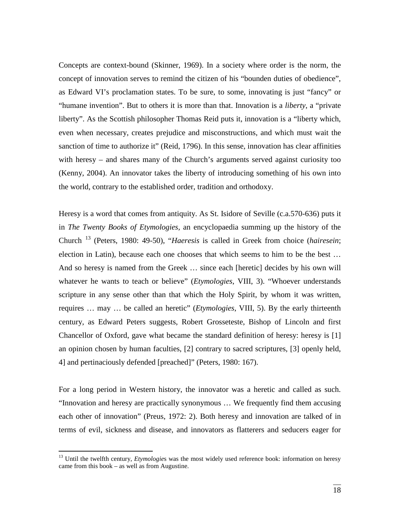Concepts are context-bound (Skinner, 1969). In a society where order is the norm, the concept of innovation serves to remind the citizen of his "bounden duties of obedience", as Edward VI's proclamation states. To be sure, to some, innovating is just "fancy" or "humane invention". But to others it is more than that. Innovation is a *liberty*, a "private liberty". As the Scottish philosopher Thomas Reid puts it, innovation is a "liberty which, even when necessary, creates prejudice and misconstructions, and which must wait the sanction of time to authorize it" (Reid, 1796). In this sense, innovation has clear affinities with heresy – and shares many of the Church's arguments served against curiosity too (Kenny, 2004). An innovator takes the liberty of introducing something of his own into the world, contrary to the established order, tradition and orthodoxy.

Heresy is a word that comes from antiquity. As St. Isidore of Seville (c.a.570-636) puts it in *The Twenty Books of Etymologies,* an encyclopaedia summing up the history of the Church [13](#page-17-0) (Peters, 1980: 49-50), "*Haeresis* is called in Greek from choice (*hairesein*; election in Latin), because each one chooses that which seems to him to be the best … And so heresy is named from the Greek … since each [heretic] decides by his own will whatever he wants to teach or believe" (*Etymologies*, VIII, 3). "Whoever understands scripture in any sense other than that which the Holy Spirit, by whom it was written, requires … may … be called an heretic" (*Etymologies*, VIII, 5). By the early thirteenth century, as Edward Peters suggests, Robert Grosseteste, Bishop of Lincoln and first Chancellor of Oxford, gave what became the standard definition of heresy: heresy is [1] an opinion chosen by human faculties, [2] contrary to sacred scriptures, [3] openly held, 4] and pertinaciously defended [preached]" (Peters, 1980: 167).

For a long period in Western history, the innovator was a heretic and called as such. "Innovation and heresy are practically synonymous … We frequently find them accusing each other of innovation" (Preus, 1972: 2). Both heresy and innovation are talked of in terms of evil, sickness and disease, and innovators as flatterers and seducers eager for

<span id="page-17-0"></span><sup>&</sup>lt;sup>13</sup> Until the twelfth century, *Etymologies* was the most widely used reference book: information on heresy came from this book – as well as from Augustine.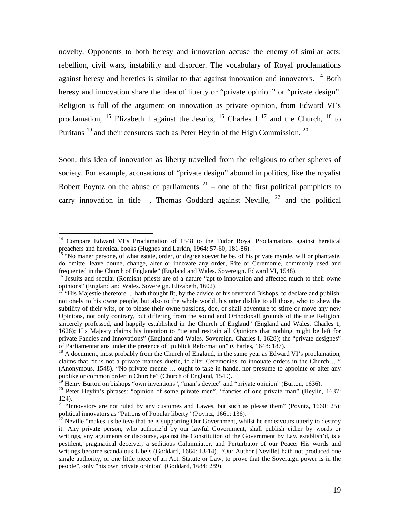novelty. Opponents to both heresy and innovation accuse the enemy of similar acts: rebellion, civil wars, instability and disorder. The vocabulary of Royal proclamations against heresy and heretics is similar to that against innovation and innovators.  $14$  Both heresy and innovation share the idea of liberty or "private opinion" or "private design". Religion is full of the argument on innovation as private opinion, from Edward VI's proclamation, <sup>[15](#page-18-1)</sup> Elizabeth I against the Jesuits, <sup>[16](#page-18-2)</sup> Charles I<sup>[17](#page-18-3)</sup> and the Church, <sup>[18](#page-18-4)</sup> to Puritans<sup>[19](#page-18-5)</sup> and their censurers such as Peter Heylin of the High Commission.<sup>[20](#page-18-6)</sup>

Soon, this idea of innovation as liberty travelled from the religious to other spheres of society. For example, accusations of "private design" abound in politics, like the royalist Robert Poyntz on the abuse of parliaments  $2<sup>1</sup>$  – one of the first political pamphlets to carry innovation in title –, Thomas Goddard against Neville,  $^{22}$  $^{22}$  $^{22}$  and the political

<span id="page-18-0"></span><sup>&</sup>lt;sup>14</sup> Compare Edward VI's Proclamation of 1548 to the Tudor Royal Proclamations against heretical preachers and heretical books (Hughes and Larkin, 1964: 57-60; 181-86).<br><sup>15</sup> "No maner persone, of what estate, order, or degree soever he be, of his private mynde, will or phantasie,

<span id="page-18-1"></span>do omitte, leave doune, change, alter or innovate any order, Rite or Ceremonie, commonly used and frequented in the Church of Englande" (England and Wales. Sovereign. Edward VI, 1548).<br><sup>16</sup> Jesuits and secular (Romish) priests are of a nature "apt to innovation and affected much to their owne

<span id="page-18-2"></span>opinions" (England and Wales. Sovereign. Elizabeth, 1602).<br><sup>17</sup> "His Majestie therefore ... hath thought fit, by the advice of his reverend Bishops, to declare and publish,

<span id="page-18-3"></span>not onely to his owne people, but also to the whole world, his utter dislike to all those, who to shew the subtility of their wits, or to please their owne passions, doe, or shall adventure to stirre or move any new Opinions, not only contrary, but differing from the sound and Orthodoxall grounds of the true Religion, sincerely professed, and happily established in the Church of England" (England and Wales. Charles 1, 1626); His Majesty claims his intention to "tie and restrain all Opinions that nothing might be left for private Fancies and Innovations" (England and Wales. Sovereign. Charles I, 1628); the "private designes" of Parliamentarians under the pretence of "publick Reformation" (Charles, 1648: 187).

<span id="page-18-4"></span> $^{18}$  A document, most probably from the Church of England, in the same year as Edward VI's proclamation, claims that "it is not a private mannes duetie, to alter Ceremonies, to innouate orders in the Church …" (Anonymous, 1548). "No private menne … ought to take in hande, nor presume to appointe or alter any publike or common order in Churche" (Church of England, 1549).<br><sup>19</sup> Henry Burton on bishops "own inventions", "man's device" and "private opinion" (Burton, 1636).

<span id="page-18-5"></span>

<span id="page-18-6"></span><sup>&</sup>lt;sup>20</sup> Peter Heylin's phrases: "opinion of some private men", "fancies of one private man" (Heylin, 1637: 124).

<span id="page-18-7"></span><sup>&</sup>lt;sup>21</sup> "Innovators are not ruled by any customes and Lawes, but such as please them" (Poyntz, 1660: 25); political innovators as "Patrons of Popular liberty" (Poyntz, 1661: 136).

<span id="page-18-8"></span> $^{22}$  Neville "makes us believe that he is supporting Our Government, whilst he endeavours utterly to destroy it. Any privat**e** person, who authoriz'd by our lawful Government, shall publish either by words or writings, any arguments or discourse, against the Constitution of the Government by Law establish'd, is a pestilent, pragmatical deceiver, a seditious Calumniator, and Perturbator of our Peace: His words and writings become scandalous Libels (Goddard, 1684: 13-14). "Our Author [Neville] hath not produced one single authority, or one little piece of an Act, Statute or Law, to prove that the Soveraign power is in the people", only "his own private opinion" (Goddard, 1684: 289).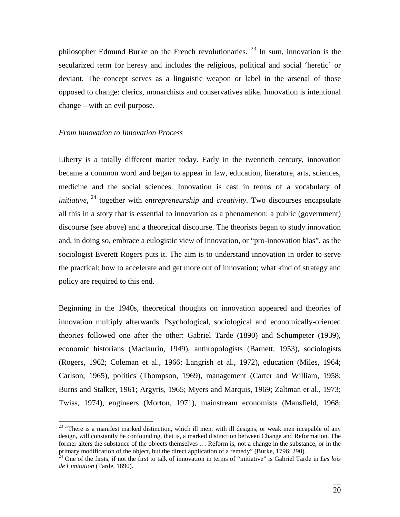philosopher Edmund Burke on the French revolutionaries.  $^{23}$  $^{23}$  $^{23}$  In sum, innovation is the secularized term for heresy and includes the religious, political and social 'heretic' or deviant. The concept serves as a linguistic weapon or label in the arsenal of those opposed to change: clerics, monarchists and conservatives alike. Innovation is intentional change – with an evil purpose.

#### *From Innovation to Innovation Process*

Liberty is a totally different matter today. Early in the twentieth century, innovation became a common word and began to appear in law, education, literature, arts, sciences, medicine and the social sciences. Innovation is cast in terms of a vocabulary of *initiative*, <sup>[24](#page-19-1)</sup> together with *entrepreneurship* and *creativity*. Two discourses encapsulate all this in a story that is essential to innovation as a phenomenon: a public (government) discourse (see above) and a theoretical discourse. The theorists began to study innovation and, in doing so, embrace a eulogistic view of innovation, or "pro-innovation bias", as the sociologist Everett Rogers puts it. The aim is to understand innovation in order to serve the practical: how to accelerate and get more out of innovation; what kind of strategy and policy are required to this end.

Beginning in the 1940s, theoretical thoughts on innovation appeared and theories of innovation multiply afterwards. Psychological, sociological and economically-oriented theories followed one after the other: Gabriel Tarde (1890) and Schumpeter (1939), economic historians (Maclaurin, 1949), anthropologists (Barnett, 1953), sociologists (Rogers, 1962; Coleman et al., 1966; Langrish et al., 1972), education (Miles, 1964; Carlson, 1965), politics (Thompson, 1969), management (Carter and William, 1958; Burns and Stalker, 1961; Argyris, 1965; Myers and Marquis, 1969; Zaltman et al., 1973; Twiss, 1974), engineers (Morton, 1971), mainstream economists (Mansfield, 1968;

<span id="page-19-0"></span> $^{23}$  "There is a manifest marked distinction, which ill men, with ill designs, or weak men incapable of any design, will constantly be confounding, that is, a marked distinction between Change and Reformation. The former alters the substance of the objects themselves … Reform is, not a change in the substance, or in the primary modification of the object, but the direct application of a remedy" (Burke, 1796: 290).<br><sup>24</sup> One of the firsts, if not the first to talk of innovation in terms of "initiative" is Gabriel Tarde in *Les lois* 

<span id="page-19-1"></span>*de l'imitation* (Tarde, 1890).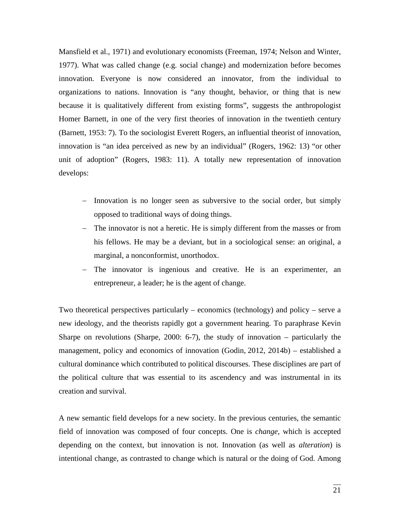Mansfield et al., 1971) and evolutionary economists (Freeman, 1974; Nelson and Winter, 1977). What was called change (e.g. social change) and modernization before becomes innovation. Everyone is now considered an innovator, from the individual to organizations to nations. Innovation is "any thought, behavior, or thing that is new because it is qualitatively different from existing forms", suggests the anthropologist Homer Barnett, in one of the very first theories of innovation in the twentieth century (Barnett, 1953: 7). To the sociologist Everett Rogers, an influential theorist of innovation, innovation is "an idea perceived as new by an individual" (Rogers, 1962: 13) "or other unit of adoption" (Rogers, 1983: 11). A totally new representation of innovation develops:

- − Innovation is no longer seen as subversive to the social order, but simply opposed to traditional ways of doing things.
- − The innovator is not a heretic. He is simply different from the masses or from his fellows. He may be a deviant, but in a sociological sense: an original, a marginal, a nonconformist, unorthodox.
- − The innovator is ingenious and creative. He is an experimenter, an entrepreneur, a leader; he is the agent of change.

Two theoretical perspectives particularly – economics (technology) and policy – serve a new ideology, and the theorists rapidly got a government hearing. To paraphrase Kevin Sharpe on revolutions (Sharpe, 2000: 6-7), the study of innovation – particularly the management, policy and economics of innovation (Godin, 2012, 2014b) – established a cultural dominance which contributed to political discourses. These disciplines are part of the political culture that was essential to its ascendency and was instrumental in its creation and survival.

A new semantic field develops for a new society. In the previous centuries, the semantic field of innovation was composed of four concepts. One is *change*, which is accepted depending on the context, but innovation is not. Innovation (as well as *alteration*) is intentional change, as contrasted to change which is natural or the doing of God. Among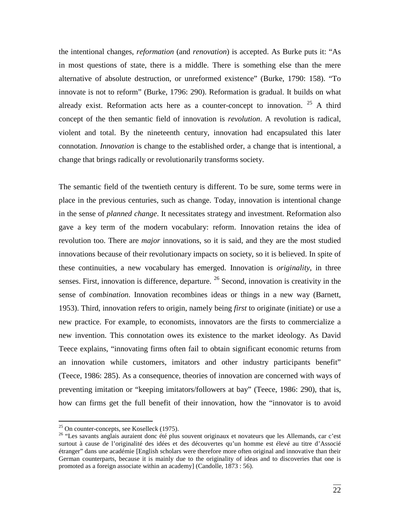the intentional changes, *reformation* (and *renovation*) is accepted. As Burke puts it: "As in most questions of state, there is a middle. There is something else than the mere alternative of absolute destruction, or unreformed existence" (Burke, 1790: 158). "To innovate is not to reform" (Burke, 1796: 290). Reformation is gradual. It builds on what already exist. Reformation acts here as a counter-concept to innovation.  $25$  A third concept of the then semantic field of innovation is *revolution*. A revolution is radical, violent and total. By the nineteenth century, innovation had encapsulated this later connotation. *Innovation* is change to the established order, a change that is intentional, a change that brings radically or revolutionarily transforms society.

The semantic field of the twentieth century is different. To be sure, some terms were in place in the previous centuries, such as change. Today, innovation is intentional change in the sense of *planned change*. It necessitates strategy and investment. Reformation also gave a key term of the modern vocabulary: reform. Innovation retains the idea of revolution too. There are *major* innovations, so it is said, and they are the most studied innovations because of their revolutionary impacts on society, so it is believed. In spite of these continuities, a new vocabulary has emerged. Innovation is *originality*, in three senses. First, innovation is difference, departure. <sup>[26](#page-21-1)</sup> Second, innovation is creativity in the sense of *combination*. Innovation recombines ideas or things in a new way (Barnett, 1953). Third, innovation refers to origin, namely being *first* to originate (initiate) or use a new practice. For example, to economists, innovators are the firsts to commercialize a new invention. This connotation owes its existence to the market ideology. As David Teece explains, "innovating firms often fail to obtain significant economic returns from an innovation while customers, imitators and other industry participants benefit" (Teece, 1986: 285). As a consequence, theories of innovation are concerned with ways of preventing imitation or "keeping imitators/followers at bay" (Teece, 1986: 290), that is, how can firms get the full benefit of their innovation, how the "innovator is to avoid

<span id="page-21-1"></span><span id="page-21-0"></span><sup>&</sup>lt;sup>25</sup> On counter-concepts, see Koselleck (1975).<br><sup>26</sup> "Les savants anglais auraient donc été plus souvent originaux et novateurs que les Allemands, car c'est surtout à cause de l'originalité des idées et des découvertes qu'un homme est élevé au titre d'Associé étranger" dans une académie [English scholars were therefore more often original and innovative than their German counterparts, because it is mainly due to the originality of ideas and to discoveries that one is promoted as a foreign associate within an academy] (Candolle, 1873 : 56).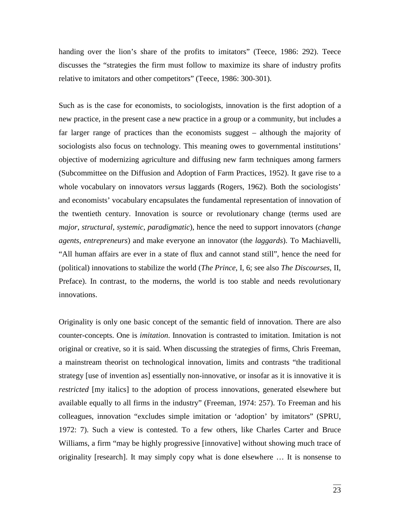handing over the lion's share of the profits to imitators" (Teece, 1986: 292). Teece discusses the "strategies the firm must follow to maximize its share of industry profits relative to imitators and other competitors" (Teece, 1986: 300-301).

Such as is the case for economists, to sociologists, innovation is the first adoption of a new practice, in the present case a new practice in a group or a community, but includes a far larger range of practices than the economists suggest – although the majority of sociologists also focus on technology. This meaning owes to governmental institutions' objective of modernizing agriculture and diffusing new farm techniques among farmers (Subcommittee on the Diffusion and Adoption of Farm Practices, 1952). It gave rise to a whole vocabulary on innovators *versus* laggards (Rogers, 1962). Both the sociologists' and economists' vocabulary encapsulates the fundamental representation of innovation of the twentieth century. Innovation is source or revolutionary change (terms used are *major*, *structural*, *systemic*, *paradigmatic*), hence the need to support innovators (*change agents*, *entrepreneurs*) and make everyone an innovator (the *laggards*). To Machiavelli, "All human affairs are ever in a state of flux and cannot stand still", hence the need for (political) innovations to stabilize the world (*The Prince*, I, 6; see also *The Discourses*, II, Preface). In contrast, to the moderns, the world is too stable and needs revolutionary innovations.

Originality is only one basic concept of the semantic field of innovation. There are also counter-concepts. One is *imitation*. Innovation is contrasted to imitation. Imitation is not original or creative, so it is said. When discussing the strategies of firms, Chris Freeman, a mainstream theorist on technological innovation, limits and contrasts "the traditional strategy [use of invention as] essentially non-innovative, or insofar as it is innovative it is *restricted* [my italics] to the adoption of process innovations, generated elsewhere but available equally to all firms in the industry" (Freeman, 1974: 257). To Freeman and his colleagues, innovation "excludes simple imitation or 'adoption' by imitators" (SPRU, 1972: 7). Such a view is contested. To a few others, like Charles Carter and Bruce Williams, a firm "may be highly progressive [innovative] without showing much trace of originality [research]. It may simply copy what is done elsewhere … It is nonsense to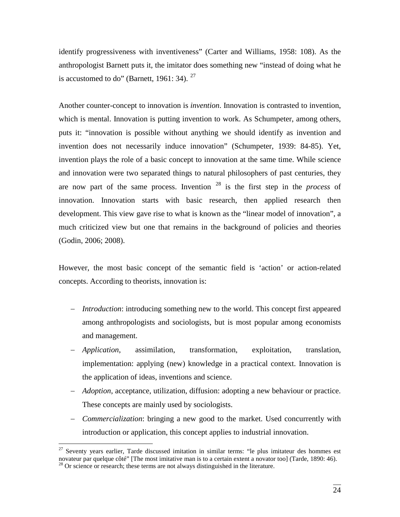identify progressiveness with inventiveness" (Carter and Williams, 1958: 108). As the anthropologist Barnett puts it, the imitator does something new "instead of doing what he is accustomed to do" (Barnett, 1961: 34).  $27$ 

Another counter-concept to innovation is *invention*. Innovation is contrasted to invention, which is mental. Innovation is putting invention to work. As Schumpeter, among others, puts it: "innovation is possible without anything we should identify as invention and invention does not necessarily induce innovation" (Schumpeter, 1939: 84-85). Yet, invention plays the role of a basic concept to innovation at the same time. While science and innovation were two separated things to natural philosophers of past centuries, they are now part of the same process. Invention [28](#page-23-1) is the first step in the *process* of innovation. Innovation starts with basic research, then applied research then development. This view gave rise to what is known as the "linear model of innovation", a much criticized view but one that remains in the background of policies and theories (Godin, 2006; 2008).

However, the most basic concept of the semantic field is 'action' or action-related concepts. According to theorists, innovation is:

- − *Introduction*: introducing something new to the world. This concept first appeared among anthropologists and sociologists, but is most popular among economists and management.
- − *Application*, assimilation, transformation, exploitation, translation, implementation: applying (new) knowledge in a practical context. Innovation is the application of ideas, inventions and science.
- − *Adoption*, acceptance, utilization, diffusion: adopting a new behaviour or practice. These concepts are mainly used by sociologists.
- − *Commercialization*: bringing a new good to the market. Used concurrently with introduction or application, this concept applies to industrial innovation.

<span id="page-23-1"></span><span id="page-23-0"></span> $27$  Seventy years earlier, Tarde discussed imitation in similar terms: "le plus imitateur des hommes est novateur par quelque côté" [The most imitative man is to a certain extent a novator too] (Tarde, 1890: 46).<br><sup>28</sup> Or science or research; these terms are not always distinguished in the literature.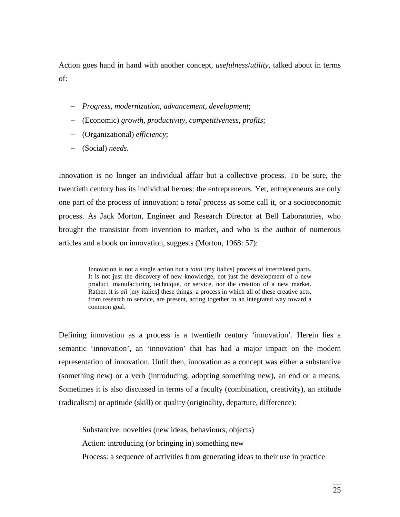Action goes hand in hand with another concept, *usefulness*/*utility*, talked about in terms of:

- − *Progress*, *modernization*, *advancement*, *development*;
- − (Economic) *growth*, *productivity*, *competitiveness*, *profits*;
- − (Organizational) *efficiency*;
- − (Social) *needs*.

Innovation is no longer an individual affair but a collective process. To be sure, the twentieth century has its individual heroes: the entrepreneurs. Yet, entrepreneurs are only one part of the process of innovation: a *total* process as some call it, or a socioeconomic process. As Jack Morton, Engineer and Research Director at Bell Laboratories, who brought the transistor from invention to market, and who is the author of numerous articles and a book on innovation, suggests (Morton, 1968: 57):

> Innovation is not a single action but a *total* [my italics] process of interrelated parts. It is not just the discovery of new knowledge, not just the development of a new product, manufacturing technique, or service, nor the creation of a new market. Rather, it is *all* [my italics] these things: a process in which all of these creative acts, from research to service, are present, acting together in an integrated way toward a common goal.

Defining innovation as a process is a twentieth century 'innovation'. Herein lies a semantic 'innovation', an 'innovation' that has had a major impact on the modern representation of innovation. Until then, innovation as a concept was either a substantive (something new) or a verb (introducing, adopting something new), an end or a means. Sometimes it is also discussed in terms of a faculty (combination, creativity), an attitude (radicalism) or aptitude (skill) or quality (originality, departure, difference):

Substantive: novelties (new ideas, behaviours, objects) Action: introducing (or bringing in) something new Process: a sequence of activities from generating ideas to their use in practice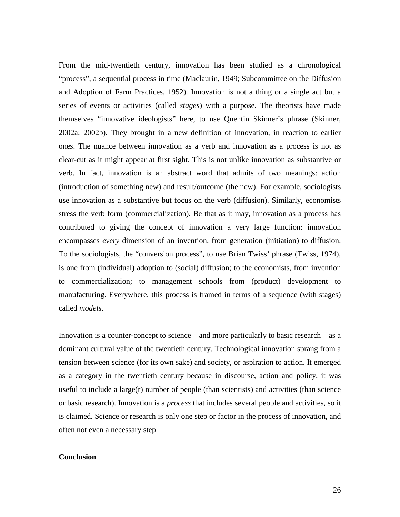From the mid-twentieth century, innovation has been studied as a chronological "process", a sequential process in time (Maclaurin, 1949; Subcommittee on the Diffusion and Adoption of Farm Practices, 1952). Innovation is not a thing or a single act but a series of events or activities (called *stages*) with a purpose. The theorists have made themselves "innovative ideologists" here, to use Quentin Skinner's phrase (Skinner, 2002a; 2002b). They brought in a new definition of innovation, in reaction to earlier ones. The nuance between innovation as a verb and innovation as a process is not as clear-cut as it might appear at first sight. This is not unlike innovation as substantive or verb. In fact, innovation is an abstract word that admits of two meanings: action (introduction of something new) and result/outcome (the new). For example, sociologists use innovation as a substantive but focus on the verb (diffusion). Similarly, economists stress the verb form (commercialization). Be that as it may, innovation as a process has contributed to giving the concept of innovation a very large function: innovation encompasses *every* dimension of an invention, from generation (initiation) to diffusion. To the sociologists, the "conversion process", to use Brian Twiss' phrase (Twiss, 1974), is one from (individual) adoption to (social) diffusion; to the economists, from invention to commercialization; to management schools from (product) development to manufacturing. Everywhere, this process is framed in terms of a sequence (with stages) called *models*.

Innovation is a counter-concept to science – and more particularly to basic research – as a dominant cultural value of the twentieth century. Technological innovation sprang from a tension between science (for its own sake) and society, or aspiration to action. It emerged as a category in the twentieth century because in discourse, action and policy, it was useful to include a large $(r)$  number of people (than scientists) and activities (than science or basic research). Innovation is a *process* that includes several people and activities, so it is claimed. Science or research is only one step or factor in the process of innovation, and often not even a necessary step.

### **Conclusion**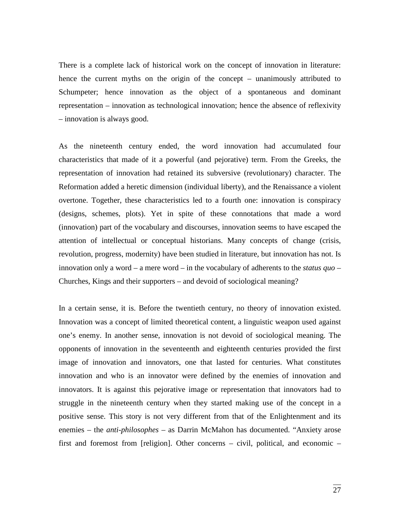There is a complete lack of historical work on the concept of innovation in literature: hence the current myths on the origin of the concept – unanimously attributed to Schumpeter; hence innovation as the object of a spontaneous and dominant representation – innovation as technological innovation; hence the absence of reflexivity – innovation is always good.

As the nineteenth century ended, the word innovation had accumulated four characteristics that made of it a powerful (and pejorative) term. From the Greeks, the representation of innovation had retained its subversive (revolutionary) character. The Reformation added a heretic dimension (individual liberty), and the Renaissance a violent overtone. Together, these characteristics led to a fourth one: innovation is conspiracy (designs, schemes, plots). Yet in spite of these connotations that made a word (innovation) part of the vocabulary and discourses, innovation seems to have escaped the attention of intellectual or conceptual historians. Many concepts of change (crisis, revolution, progress, modernity) have been studied in literature, but innovation has not. Is innovation only a word – a mere word – in the vocabulary of adherents to the *status quo* – Churches, Kings and their supporters – and devoid of sociological meaning?

In a certain sense, it is. Before the twentieth century, no theory of innovation existed. Innovation was a concept of limited theoretical content, a linguistic weapon used against one's enemy. In another sense, innovation is not devoid of sociological meaning. The opponents of innovation in the seventeenth and eighteenth centuries provided the first image of innovation and innovators, one that lasted for centuries. What constitutes innovation and who is an innovator were defined by the enemies of innovation and innovators. It is against this pejorative image or representation that innovators had to struggle in the nineteenth century when they started making use of the concept in a positive sense. This story is not very different from that of the Enlightenment and its enemies – the *anti-philosophes* – as Darrin McMahon has documented. "Anxiety arose first and foremost from [religion]. Other concerns – civil, political, and economic –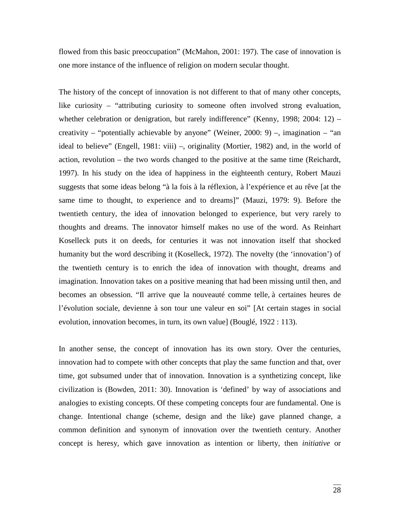flowed from this basic preoccupation" (McMahon, 2001: 197). The case of innovation is one more instance of the influence of religion on modern secular thought.

The history of the concept of innovation is not different to that of many other concepts, like curiosity – "attributing curiosity to someone often involved strong evaluation, whether celebration or denigration, but rarely indifference" (Kenny, 1998; 2004: 12) – creativity – "potentially achievable by anyone" (Weiner, 2000: 9) –, imagination – "an ideal to believe" (Engell, 1981: viii) –, originality (Mortier, 1982) and, in the world of action, revolution – the two words changed to the positive at the same time (Reichardt, 1997). In his study on the idea of happiness in the eighteenth century, Robert Mauzi suggests that some ideas belong "à la fois à la réflexion, à l'expérience et au rêve [at the same time to thought, to experience and to dreams]" (Mauzi, 1979: 9). Before the twentieth century, the idea of innovation belonged to experience, but very rarely to thoughts and dreams. The innovator himself makes no use of the word. As Reinhart Koselleck puts it on deeds, for centuries it was not innovation itself that shocked humanity but the word describing it (Koselleck, 1972). The novelty (the 'innovation') of the twentieth century is to enrich the idea of innovation with thought, dreams and imagination. Innovation takes on a positive meaning that had been missing until then, and becomes an obsession. "Il arrive que la nouveauté comme telle, à certaines heures de l'évolution sociale, devienne à son tour une valeur en soi" [At certain stages in social evolution, innovation becomes, in turn, its own value] (Bouglé, 1922 : 113).

In another sense, the concept of innovation has its own story. Over the centuries, innovation had to compete with other concepts that play the same function and that, over time, got subsumed under that of innovation. Innovation is a synthetizing concept, like civilization is (Bowden, 2011: 30). Innovation is 'defined' by way of associations and analogies to existing concepts. Of these competing concepts four are fundamental. One is change. Intentional change (scheme, design and the like) gave planned change, a common definition and synonym of innovation over the twentieth century. Another concept is heresy, which gave innovation as intention or liberty, then *initiative* or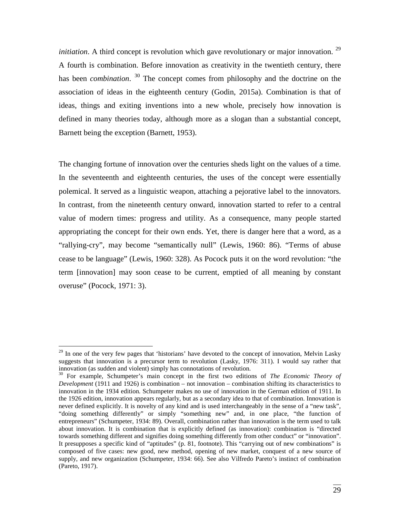*initiation*. A third concept is revolution which gave revolutionary or major innovation. <sup>[29](#page-28-0)</sup> A fourth is combination. Before innovation as creativity in the twentieth century, there has been *combination*. <sup>[30](#page-28-1)</sup> The concept comes from philosophy and the doctrine on the association of ideas in the eighteenth century (Godin, 2015a). Combination is that of ideas, things and exiting inventions into a new whole, precisely how innovation is defined in many theories today, although more as a slogan than a substantial concept, Barnett being the exception (Barnett, 1953).

The changing fortune of innovation over the centuries sheds light on the values of a time. In the seventeenth and eighteenth centuries, the uses of the concept were essentially polemical. It served as a linguistic weapon, attaching a pejorative label to the innovators. In contrast, from the nineteenth century onward, innovation started to refer to a central value of modern times: progress and utility. As a consequence, many people started appropriating the concept for their own ends. Yet, there is danger here that a word, as a "rallying-cry", may become "semantically null" (Lewis, 1960: 86). "Terms of abuse cease to be language" (Lewis, 1960: 328). As Pocock puts it on the word revolution: "the term [innovation] may soon cease to be current, emptied of all meaning by constant overuse" (Pocock, 1971: 3).

<span id="page-28-0"></span> $^{29}$  In one of the very few pages that 'historians' have devoted to the concept of innovation, Melvin Lasky suggests that innovation is a precursor term to revolution (Lasky, 1976: 311). I would say rather that innovation (as sudden and violent) simply has connotations of revolution.

<span id="page-28-1"></span><sup>30</sup> For example, Schumpeter's main concept in the first two editions of *The Economic Theory of Development* (1911 and 1926) is combination – not innovation – combination shifting its characteristics to innovation in the 1934 edition. Schumpeter makes no use of innovation in the German edition of 1911. In the 1926 edition, innovation appears regularly, but as a secondary idea to that of combination. Innovation is never defined explicitly. It is novelty of any kind and is used interchangeably in the sense of a "new task", "doing something differently" or simply "something new" and, in one place, "the function of entrepreneurs" (Schumpeter, 1934: 89). Overall, combination rather than innovation is the term used to talk about innovation. It is combination that is explicitly defined (as innovation): combination is "directed towards something different and signifies doing something differently from other conduct" or "innovation". It presupposes a specific kind of "aptitudes" (p. 81, footnote). This "carrying out of new combinations" is composed of five cases: new good, new method, opening of new market, conquest of a new source of supply, and new organization (Schumpeter, 1934: 66). See also Vilfredo Pareto's instinct of combination (Pareto, 1917).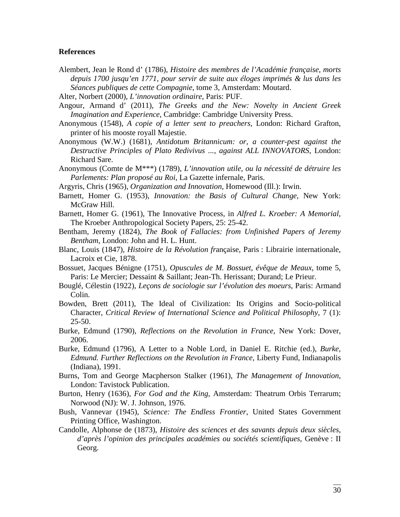#### **References**

- Alembert, Jean le Rond d' (1786), *Histoire des membres de l'Académie française, morts depuis 1700 jusqu'en 1771, pour servir de suite aux éloges imprimés & lus dans les Séances publiques de cette Compagnie*, tome 3, Amsterdam: Moutard.
- Alter, Norbert (2000), *L'innovation ordinaire*, Paris: PUF.
- Angour, Armand d' (2011), *The Greeks and the New: Novelty in Ancient Greek Imagination and Experience*, Cambridge: Cambridge University Press.
- Anonymous (1548), *A copie of a letter sent to preachers*, London: Richard Grafton, printer of his mooste royall Majestie.
- Anonymous (W.W.) (1681), *Antidotum Britannicum: or, a counter-pest against the Destructive Principles of Plato Redivivus ..., against ALL INNOVATORS*, London: Richard Sare.
- Anonymous (Comte de M\*\*\*) (1789), *L'innovation utile, ou la nécessité de détruire les Parlements: Plan proposé au Roi*, La Gazette infernale, Paris.
- Argyris, Chris (1965), *Organization and Innovation*, Homewood (Ill.): Irwin.
- Barnett, Homer G. (1953), *Innovation: the Basis of Cultural Change*, New York: McGraw Hill.
- Barnett, Homer G. (1961), The Innovative Process, in *Alfred L. Kroeber: A Memorial*, The Kroeber Anthropological Society Papers, 25: 25-42.
- Bentham, Jeremy (1824), *The Book of Fallacies: from Unfinished Papers of Jeremy Bentham*, London: John and H. L. Hunt.
- Blanc, Louis (1847), *Histoire de la Révolution fr*ançaise, Paris : Librairie internationale, Lacroix et Cie, 1878.
- Bossuet, Jacques Bénigne (1751), *Opuscules de M. Bossuet, évêque de Meaux*, tome 5, Paris: Le Mercier; Dessaint & Saillant; Jean-Th. Herissant; Durand; Le Prieur.
- Bouglé, Célestin (1922), *Leçons de sociologie sur l'évolution des moeurs*, Paris: Armand Colin.
- Bowden, Brett (2011), The Ideal of Civilization: Its Origins and Socio-political Character, *Critical Review of International Science and Political Philosophy*, 7 (1):  $25 - 50.$
- Burke, Edmund (1790), *Reflections on the Revolution in France*, New York: Dover, 2006.
- Burke, Edmund (1796), A Letter to a Noble Lord, in Daniel E. Ritchie (ed.), *Burke, Edmund. Further Reflections on the Revolution in France*, Liberty Fund, Indianapolis (Indiana), 1991.
- Burns, Tom and George Macpherson Stalker (1961), *The Management of Innovation*, London: Tavistock Publication.
- Burton, Henry (1636), *For God and the King*, Amsterdam: Theatrum Orbis Terrarum; Norwood (NJ): W. J. Johnson, 1976.
- Bush, Vannevar (1945), *Science: The Endless Frontier*, United States Government Printing Office, Washington.
- Candolle, Alphonse de (1873), *Histoire des sciences et des savants depuis deux siècles, d'après l'opinion des principales académies ou sociétés scientifiques*, Genève : II Georg.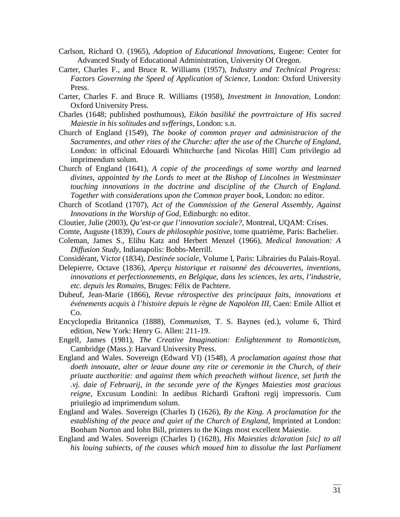- Carlson, Richard O. (1965), *Adoption of Educational Innovations*, Eugene: Center for Advanced Study of Educational Administration, University Of Oregon.
- Carter, Charles F., and Bruce R. Williams (1957), *Industry and Technical Progress: Factors Governing the Speed of Application of Science*, London: Oxford University Press.
- Carter, Charles F. and Bruce R. Williams (1958), *Investment in Innovation*, London: Oxford University Press.
- Charles (1648; published posthumous), *Eikón basiliké the povrtraicture of His sacred Maiestie in his solitudes and svfferings*, London: s.n.
- Church of England (1549), *The booke of common prayer and administracion of the Sacramentes, and other rites of the Churche: after the use of the Churche of England*, London: in officinal Edouardi Whitchurche [and Nicolas Hill] Cum privilegio ad imprimendum solum.
- Church of England (1641), *A copie of the proceedings of some worthy and learned divines, appointed by the Lords to meet at the Bishop of Lincolnes in Westminster touching innovations in the doctrine and discipline of the Church of England. Together with considerations upon the Common prayer book*, London: no editor.
- Church of Scotland (1707), *Act of the Commission of the General Assembly, Against Innovations in the Worship of God*, Edinburgh: no editor.
- Cloutier, Julie (2003), *Qu'est-ce que l'innovation sociale?*, Montreal, UQAM: Crises.
- Comte, Auguste (1839), *Cours de philosophie positive*, tome quatrième, Paris: Bachelier.
- Coleman, James S., Elihu Katz and Herbert Menzel (1966), *Medical Innovation: A Diffusion Study*, Indianapolis: Bobbs-Merrill.
- Considérant, Victor (1834), *Destinée sociale*, Volume I, Paris: Librairies du Palais-Royal.
- Delepierre, Octave (1836), *Aperçu historique et raisonné des découvertes, inventions, innovations et perfectionnements, en Belgique, dans les sciences, les arts, l'industrie, etc. depuis les Romains*, Bruges: Félix de Pachtere.
- Dubeuf, Jean-Marie (1866), *Revue rétrospective des principaux faits, innovations et événements acquis à l'histoire depuis le règne de Napoléon III*, Caen: Emile Alliot et Co.
- Encyclopedia Britannica (1888), *Communism*, T. S. Baynes (ed.), volume 6, Third edition, New York: Henry G. Allen: 211-19.
- Engell, James (1981), *The Creative Imagination: Enlightenment to Romanticism*, Cambridge (Mass.): Harvard University Press.
- England and Wales. Sovereign (Edward VI) (1548), *A proclamation against those that doeth innouate, alter or leaue doune any rite or ceremonie in the Church, of their priuate aucthoritie: and against them which preacheth without licence, set furth the .vj. daie of Februarij, in the seconde yere of the Kynges Maiesties most gracious reigne*, Excusum Londini: In aedibus Richardi Graftoni regij impressoris. Cum priuilegio ad imprimendum solum.
- England and Wales. Sovereign (Charles I) (1626), *By the King. A proclamation for the establishing of the peace and quiet of the Church of England*, Imprinted at London: Bonham Norton and Iohn Bill, printers to the Kings most excellent Maiestie.
- England and Wales. Sovereign (Charles I) (1628), *His Maiesties dclaration [sic] to all his louing subiects, of the causes which moued him to dissolue the last Parliament*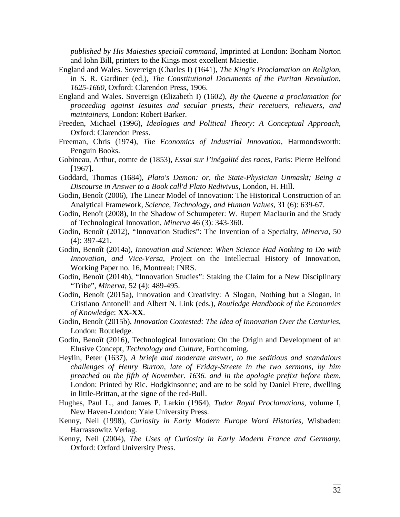*published by His Maiesties speciall command*, Imprinted at London: Bonham Norton and Iohn Bill, printers to the Kings most excellent Maiestie.

- England and Wales. Sovereign (Charles I) (1641), *The King's Proclamation on Religion*, in S. R. Gardiner (ed.), *The Constitutional Documents of the Puritan Revolution, 1625-1660*, Oxford: Clarendon Press, 1906.
- England and Wales. Sovereign (Elizabeth I) (1602), *By the Queene a proclamation for proceeding against Iesuites and secular priests, their receiuers, relieuers, and maintainers*, London: Robert Barker.
- Freeden, Michael (1996), *Ideologies and Political Theory: A Conceptual Approach*, Oxford: Clarendon Press.
- Freeman, Chris (1974), *The Economics of Industrial Innovation*, Harmondsworth: Penguin Books.
- Gobineau, Arthur, comte de (1853), *Essai sur l'inégalité des races*, Paris: Pierre Belfond [1967].
- Goddard, Thomas (1684), *Plato's Demon: or, the State-Physician Unmaskt; Being a Discourse in Answer to a Book call'd Plato Redivivus*, London, H. Hill.
- Godin, Benoît (2006), [The Linear Model of Innovation: The Historical Construction of an](http://www.csiic.ca/PDF/Godin_30.pdf)  [Analytical Framework,](http://www.csiic.ca/PDF/Godin_30.pdf) *Science, Technology, and Human Values*, 31 (6): 639-67.
- Godin, Benoît (2008), [In the Shadow of Schumpeter: W. Rupert Maclaurin and the Study](http://www.csiic.ca/PDF/IntellectualNo2.pdf)  [of Technological Innovation,](http://www.csiic.ca/PDF/IntellectualNo2.pdf) *Minerva* 46 (3): 343-360.
- Godin, Benoît (2012), "Innovation Studies": The Invention of a Specialty, *Minerva*, 50 (4): 397-421.
- Godin, Benoît (2014a), *[Innovation and Science: When Science Had Nothing to Do with](http://www.csiic.ca/PDF/WorkingPaper16.pdf)  [Innovation, and Vice-Versa](http://www.csiic.ca/PDF/WorkingPaper16.pdf)*, Project on the Intellectual History of Innovation, Working Paper no. 16, Montreal: INRS.
- Godin, Benoît (2014b), "Innovation Studies": Staking the Claim for a New Disciplinary "Tribe", *Minerva*, 52 (4): 489-495.
- Godin, Benoît (2015a), Innovation and Creativity: A Slogan, Nothing but a Slogan, in Cristiano Antonelli and Albert N. Link (eds.), *Routledge Handbook of the Economics of Knowledge*: **XX-XX**.
- Godin, Benoît (2015b), *Innovation Contested: The Idea of Innovation Over the Centuries*, London: Routledge.
- Godin, Benoît (2016), Technological Innovation: On the Origin and Development of an Elusive Concept, *Technology and Culture*, Forthcoming.
- Heylin, Peter (1637), *A briefe and moderate answer, to the seditious and scandalous challenges of Henry Burton, late of Friday-Streete in the two sermons, by him preached on the fifth of November. 1636. and in the apologie prefixt before them*, London: Printed by Ric. Hodgkinsonne; and are to be sold by Daniel Frere, dwelling in little-Brittan, at the signe of the red-Bull.
- Hughes, Paul L., and James P. Larkin (1964), *Tudor Royal Proclamations*, volume I, New Haven-London: Yale University Press.
- Kenny, Neil (1998), *Curiosity in Early Modern Europe Word Histories*, Wisbaden: Harrassowitz Verlag.
- Kenny, Neil (2004), *The Uses of Curiosity in Early Modern France and Germany*, Oxford: Oxford University Press.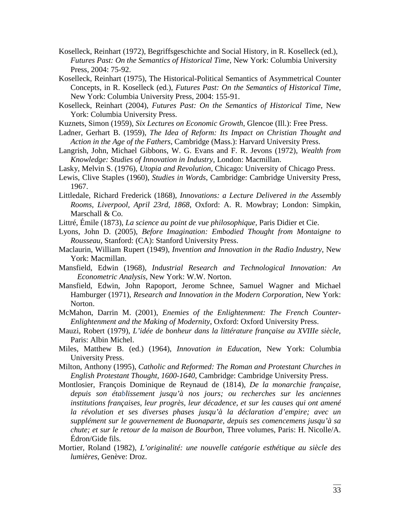- Koselleck, Reinhart (1972), Begriffsgeschichte and Social History, in R. Koselleck (ed.), *Futures Past: On the Semantics of Historical Time*, New York: Columbia University Press, 2004: 75-92.
- Koselleck, Reinhart (1975), The Historical-Political Semantics of Asymmetrical Counter Concepts, in R. Koselleck (ed.), *Futures Past: On the Semantics of Historical Time*, New York: Columbia University Press, 2004: 155-91.
- Koselleck, Reinhart (2004), *Futures Past: On the Semantics of Historical Time*, New York: Columbia University Press.
- Kuznets, Simon (1959), *Six Lectures on Economic Growth*, Glencoe (Ill.): Free Press.
- Ladner, Gerhart B. (1959), *The Idea of Reform: Its Impact on Christian Thought and Action in the Age of the Fathers*, Cambridge (Mass.): Harvard University Press.
- Langrish, John, Michael Gibbons, W. G. Evans and F. R. Jevons (1972), *Wealth from Knowledge: Studies of Innovation in Industry*, London: Macmillan.
- Lasky, Melvin S. (1976), *Utopia and Revolution*, Chicago: University of Chicago Press.
- Lewis, Clive Staples (1960), *Studies in Words*, Cambridge: Cambridge University Press, 1967.
- Littledale, Richard Frederick (1868), *Innovations: a Lecture Delivered in the Assembly Rooms, Liverpool, April 23rd, 1868*, Oxford: A. R. Mowbray; London: Simpkin, Marschall & Co.
- Littré, Émile (1873), *La science au point de vue philosophique*, Paris Didier et Cie.
- Lyons, John D. (2005), *Before Imagination: Embodied Thought from Montaigne to Rousseau*, Stanford: (CA): Stanford University Press.
- Maclaurin, William Rupert (1949), *Invention and Innovation in the Radio Industry*, New York: Macmillan.
- Mansfield, Edwin (1968), *Industrial Research and Technological Innovation: An Econometric Analysis*, New York: W.W. Norton.
- Mansfield, Edwin, John Rapoport, Jerome Schnee, Samuel Wagner and Michael Hamburger (1971), *Research and Innovation in the Modern Corporation*, New York: Norton.
- McMahon, Darrin M. (2001), *Enemies of the Enlightenment: The French Counter-Enlightenment and the Making of Modernity*, Oxford: Oxford University Press.
- Mauzi, Robert (1979), *L'idée de bonheur dans la littérature française au XVIIIe siècle*, Paris: Albin Michel.
- Miles, Matthew B. (ed.) (1964), *Innovation in Education*, New York: Columbia University Press.
- Milton, Anthony (1995), *Catholic and Reformed: The Roman and Protestant Churches in English Protestant Thought, 1600-1640*, Cambridge: Cambridge University Press.
- Montlosier, François Dominique de Reynaud de (1814), *De la monarchie française, depuis son établissement jusqu'à nos jours; ou recherches sur les anciennes institutions françaises, leur progrès, leur décadence, et sur les causes qui ont amené la révolution et ses diverses phases jusqu'à la déclaration d'empire; avec un supplément sur le gouvernement de Buonaparte, depuis ses comencemens jusqu'à sa chute; et sur le retour de la maison de Bourbon*, Three volumes, Paris: H. Nicolle/A. Édron/Gide fils.
- Mortier, Roland (1982), *L'originalité: une nouvelle catégorie esthétique au siècle des lumières*, Genève: Droz.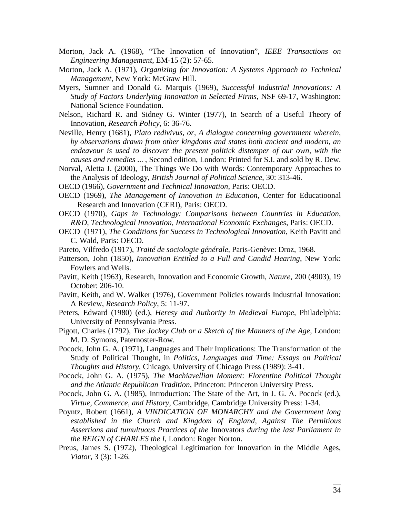- Morton, Jack A. (1968), "The Innovation of Innovation", *IEEE Transactions on Engineering Management*, EM-15 (2): 57-65.
- Morton, Jack A. (1971), *Organizing for Innovation: A Systems Approach to Technical Management*, New York: McGraw Hill.
- Myers, Sumner and Donald G. Marquis (1969), *Successful Industrial Innovations: A Study of Factors Underlying Innovation in Selected Firms*, NSF 69-17, Washington: National Science Foundation.
- Nelson, Richard R. and Sidney G. Winter (1977), In Search of a Useful Theory of Innovation, *Research Policy*, 6: 36-76.
- Neville, Henry (1681), *Plato redivivus, or, A dialogue concerning government wherein, by observations drawn from other kingdoms and states both ancient and modern, an endeavour is used to discover the present politick distemper of our own, with the causes and remedies* ... , Second edition, London: Printed for S.I. and sold by R. Dew.
- Norval, Aletta J. (2000), The Things We Do with Words: Contemporary Approaches to the Analysis of Ideology, *British Journal of Political Science*, 30: 313-46.
- OECD (1966), *Government and Technical Innovation*, Paris: OECD.
- OECD (1969), *The Management of Innovation in Education*, Center for Educatioonal Research and Innovation (CERI), Paris: OECD.
- OECD (1970), *Gaps in Technology: Comparisons between Countries in Education, R&D, Technological Innovation, International Economic Exchanges*, Paris: OECD.
- OECD (1971), *The Conditions for Success in Technological Innovation*, Keith Pavitt and C. Wald, Paris: OECD.
- Pareto, Vilfredo (1917), *Traité de sociologie générale*, Paris-Genève: Droz, 1968.
- Patterson, John (1850), *Innovation Entitled to a Full and Candid Hearing*, New York: Fowlers and Wells.
- Pavitt, Keith (1963), Research, Innovation and Economic Growth, *Nature*, 200 (4903), 19 October: 206-10.
- Pavitt, Keith, and W. Walker (1976), Government Policies towards Industrial Innovation: A Review, *Research Policy*, 5: 11-97.
- Peters, Edward (1980) (ed.), *Heresy and Authority in Medieval Europe*, Philadelphia: University of Pennsylvania Press.
- Pigott, Charles (1792), *The Jockey Club or a Sketch of the Manners of the Age*, London: M. D. Symons, Paternoster-Row.
- Pocock, John G. A. (1971), Languages and Their Implications: The Transformation of the Study of Political Thought, in *Politics, Languages and Time: Essays on Political Thoughts and History*, Chicago, University of Chicago Press (1989): 3-41.
- Pocock, John G. A. (1975), *The Machiavellian Moment: Florentine Political Thought and the Atlantic Republican Tradition*, Princeton: Princeton University Press.
- Pocock, John G. A. (1985), Introduction: The State of the Art, in J. G. A. Pocock (ed.), *Virtue, Commerce, and History*, Cambridge, Cambridge University Press: 1-34.
- Poyntz, Robert (1661), *A VINDICATION OF MONARCHY and the Government long established in the Church and Kingdom of England, Against The Pernitious Assertions and tumultuous Practices of the* Innovators *during the last Parliament in the REIGN of CHARLES the I*, London: Roger Norton.
- Preus, James S. (1972), Theological Legitimation for Innovation in the Middle Ages, *Viator*, 3 (3): 1-26.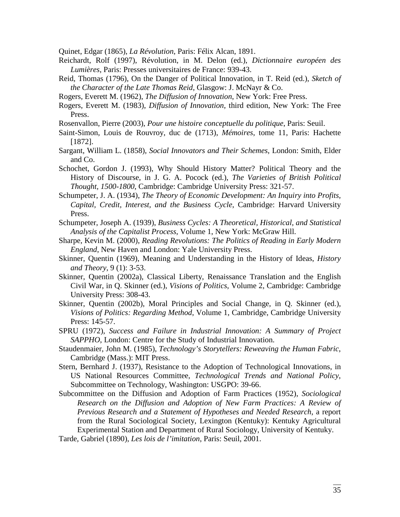Quinet, Edgar (1865), *La Révolution*, Paris: Félix Alcan, 1891.

- Reichardt, Rolf (1997), Révolution, in M. Delon (ed.), *Dictionnaire européen des Lumières*, Paris: Presses universitaires de France: 939-43.
- Reid, Thomas (1796), On the Danger of Political Innovation, in T. Reid (ed.), *Sketch of the Character of the Late Thomas Reid*, Glasgow: J. McNayr & Co.
- Rogers, Everett M. (1962), *The Diffusion of Innovation*, New York: Free Press.
- Rogers, Everett M. (1983), *Diffusion of Innovation*, third edition, New York: The Free Press.
- Rosenvallon, Pierre (2003), *Pour une histoire conceptuelle du politique*, Paris: Seuil.
- Saint-Simon, Louis de Rouvroy, duc de (1713), *Mémoires*, tome 11, Paris: Hachette [1872].
- Sargant, William L. (1858), *Social Innovators and Their Schemes*, London: Smith, Elder and Co.
- Schochet, Gordon J. (1993), Why Should History Matter? Political Theory and the History of Discourse, in J. G. A. Pocock (ed.), *The Varieties of British Political Thought, 1500-1800*, Cambridge: Cambridge University Press: 321-57.
- Schumpeter, J. A. (1934), *The Theory of Economic Development: An Inquiry into Profits, Capital, Credit, Interest, and the Business Cycle*, Cambridge: Harvard University Press.
- Schumpeter, Joseph A. (1939), *Business Cycles: A Theoretical, Historical, and Statistical Analysis of the Capitalist Process*, Volume 1, New York: McGraw Hill.
- Sharpe, Kevin M. (2000), *Reading Revolutions: The Politics of Reading in Early Modern England*, New Haven and London: Yale University Press.
- Skinner, Quentin (1969), Meaning and Understanding in the History of Ideas, *History and Theory*, 9 (1): 3-53.
- Skinner, Quentin (2002a), Classical Liberty, Renaissance Translation and the English Civil War, in Q. Skinner (ed.), *Visions of Politics*, Volume 2, Cambridge: Cambridge University Press: 308-43.
- Skinner, Quentin (2002b), Moral Principles and Social Change, in Q. Skinner (ed.), *Visions of Politics: Regarding Method*, Volume 1, Cambridge, Cambridge University Press: 145-57.
- SPRU (1972), *Success and Failure in Industrial Innovation: A Summary of Project SAPPHO*, London: Centre for the Study of Industrial Innovation.
- Staudenmaier, John M. (1985), *Technology's Storytellers: Reweaving the Human Fabric*, Cambridge (Mass.): MIT Press.
- Stern, Bernhard J. (1937), Resistance to the Adoption of Technological Innovations, in US National Resources Committee, *Technological Trends and National Policy*, Subcommittee on Technology, Washington: USGPO: 39-66.
- Subcommittee on the Diffusion and Adoption of Farm Practices (1952), *Sociological Research on the Diffusion and Adoption of New Farm Practices: A Review of Previous Research and a Statement of Hypotheses and Needed Research*, a report from the Rural Sociological Society, Lexington (Kentuky): Kentuky Agricultural Experimental Station and Department of Rural Sociology, University of Kentuky.
- Tarde, Gabriel (1890), *Les lois de l'imitation*, Paris: Seuil, 2001.